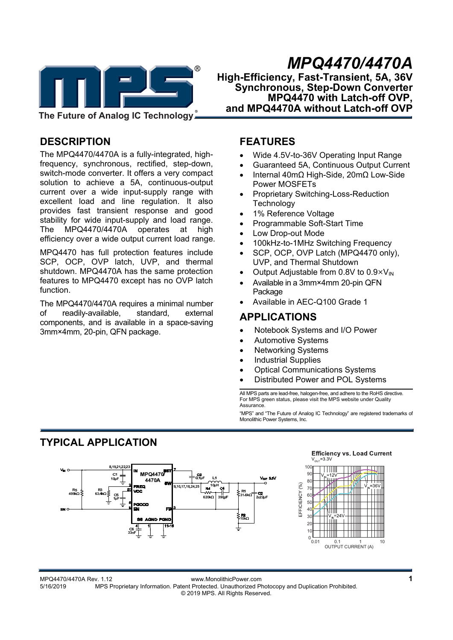

*MPQ4470/4470A*  **High-Efficiency, Fast-Transient, 5A, 36V Synchronous, Step-Down Converter MPQ4470 with Latch-off OVP, and MPQ4470A without Latch-off OVP** 

**The Future of Analog IC Technology**

## **DESCRIPTION**

The MPQ4470/4470A is a fully-integrated, highfrequency, synchronous, rectified, step-down, switch-mode converter. It offers a very compact solution to achieve a 5A, continuous-output current over a wide input-supply range with excellent load and line regulation. It also provides fast transient response and good stability for wide input-supply and load range. The MPQ4470/4470A operates at high efficiency over a wide output current load range.

MPQ4470 has full protection features include SCP, OCP, OVP latch, UVP, and thermal shutdown. MPQ4470A has the same protection features to MPQ4470 except has no OVP latch function.

The MPQ4470/4470A requires a minimal number of readily-available, standard, external components, and is available in a space-saving 3mm×4mm, 20-pin, QFN package.

## **FEATURES**

- Wide 4.5V-to-36V Operating Input Range
- Guaranteed 5A, Continuous Output Current
- Internal 40mΩ High-Side, 20mΩ Low-Side Power MOSFETs
- Proprietary Switching-Loss-Reduction **Technology**
- 1% Reference Voltage
- Programmable Soft-Start Time
- Low Drop-out Mode
- 100kHz-to-1MHz Switching Frequency
- SCP, OCP, OVP Latch (MPQ4470 only), UVP, and Thermal Shutdown
- Output Adjustable from 0.8V to  $0.9\times V_{\text{IN}}$
- Available in a 3mm×4mm 20-pin QFN Package
- Available in AEC-Q100 Grade 1

### **APPLICATIONS**

- Notebook Systems and I/O Power
- Automotive Systems
- Networking Systems
- Industrial Supplies
- Optical Communications Systems
- Distributed Power and POL Systems

All MPS parts are lead-free, halogen-free, and adhere to the RoHS directive. For MPS green status, please visit the MPS website under Quality **Assurance** 

"MPS" and "The Future of Analog IC Technology" are registered trademarks of Monolithic Power Systems, Inc.

# **TYPICAL APPLICATION**



MPQ4470/4470A Rev. 1.12 www.MonolithicPower.com **1** 5/16/2019 MPS Proprietary Information. Patent Protected. Unauthorized Photocopy and Duplication Prohibited. © 2019 MPS. All Rights Reserved.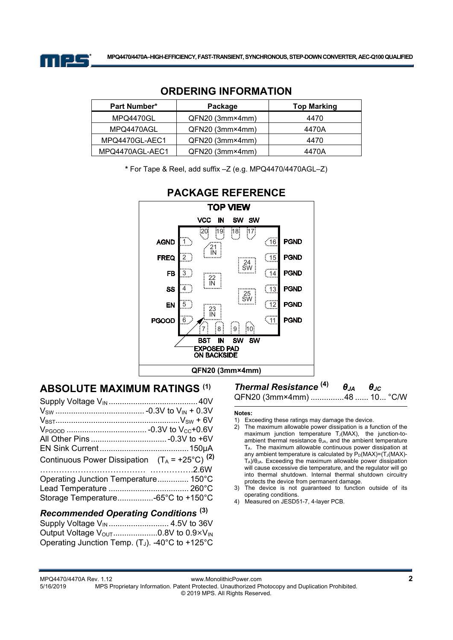

| <b>Part Number*</b> | Package         | <b>Top Marking</b> |
|---------------------|-----------------|--------------------|
| MPQ4470GL           | QFN20 (3mm×4mm) | 4470               |
| MPQ4470AGL          | QFN20 (3mm×4mm) | 4470A              |
| MPQ4470GL-AEC1      | QFN20 (3mm×4mm) | 4470               |
| MPQ4470AGL-AEC1     | QFN20 (3mm×4mm) | 4470A              |

### **ORDERING INFORMATION**

**\*** For Tape & Reel, add suffix –Z (e.g. MPQ4470/4470AGL–Z)



## **PACKAGE REFERENCE**

## **ABSOLUTE MAXIMUM RATINGS (1)**

| Continuous Power Dissipation $(T_A = +25^{\circ}C)^{(2)}$ |  |
|-----------------------------------------------------------|--|
|                                                           |  |
| Operating Junction Temperature 150°C                      |  |
|                                                           |  |
|                                                           |  |
|                                                           |  |

### *Recommended Operating Conditions* **(3)**

Supply Voltage VIN ........................... 4.5V to 36V Output Voltage VOUT .................... 0.8V to 0.9×VIN Operating Junction Temp. (T<sub>J</sub>). -40 $^{\circ}$ C to +125 $^{\circ}$ C

# *Thermal Resistance* **(4)** *θJA θJC*

QFN20 (3mm×4mm) ............... 48 ...... 10 ... °C/W

#### **Notes:**

- 1) Exceeding these ratings may damage the device.
- 2) The maximum allowable power dissipation is a function of the maximum junction temperature TJ(MAX), the junction-toambient thermal resistance  $\theta_{JA}$ , and the ambient temperature TA. The maximum allowable continuous power dissipation at any ambient temperature is calculated by  $P_D(MAX)=(T_J(MAX)-T_J(MAX)-T_J(MAX)-T_J(MAX)-T_J(MAX)$ TA)/θJA. Exceeding the maximum allowable power dissipation will cause excessive die temperature, and the regulator will go into thermal shutdown. Internal thermal shutdown circuitry protects the device from permanent damage.
- 3) The device is not guaranteed to function outside of its operating conditions.
- 4) Measured on JESD51-7, 4-layer PCB.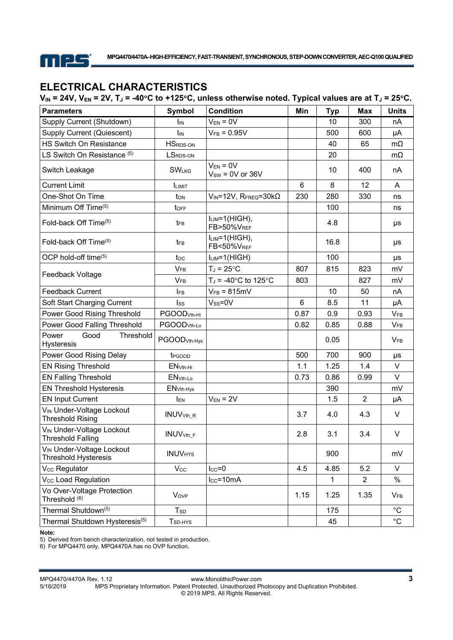

# **ELECTRICAL CHARACTERISTICS**

| $V_{IN}$ = 24V, $V_{EN}$ = 2V, T <sub>J</sub> = -40°C to +125°C, unless otherwise noted. Typical values are at T <sub>J</sub> = 25°C. |  |  |
|---------------------------------------------------------------------------------------------------------------------------------------|--|--|
|---------------------------------------------------------------------------------------------------------------------------------------|--|--|

| <b>Parameters</b>                                                 | Symbol                       | <b>Condition</b>                      | Min  | <b>Typ</b> | Max            | <b>Units</b>      |
|-------------------------------------------------------------------|------------------------------|---------------------------------------|------|------------|----------------|-------------------|
| Supply Current (Shutdown)                                         | IIN                          | $V_{EN} = 0V$                         |      | 10         | 300            | nA                |
| Supply Current (Quiescent)                                        | Ìіn                          | $V_{FB} = 0.95V$                      |      | 500        | 600            | μA                |
| HS Switch On Resistance                                           | <b>HSRDS-ON</b>              |                                       |      | 40         | 65             | $m\Omega$         |
| LS Switch On Resistance <sup>(5)</sup>                            | LSRDS-ON                     |                                       |      | 20         |                | $m\Omega$         |
| Switch Leakage                                                    | <b>SWLKG</b>                 | $V_{EN} = 0V$<br>$V_{SW} = 0V$ or 36V |      | 10         | 400            | nA                |
| <b>Current Limit</b>                                              | <b>ILIMIT</b>                |                                       | 6    | 8          | 12             | A                 |
| One-Shot On Time                                                  | t <sub>on</sub>              | $V_{IN}$ =12V, RFREQ=30k $\Omega$     | 230  | 280        | 330            | ns                |
| Minimum Off Time <sup>(5)</sup>                                   | toff                         |                                       |      | 100        |                | ns                |
| Fold-back Off Time(5)                                             | $t_{FB}$                     | $I_{LIM} = 1(HIGH)$ ,<br>FB>50%VREF   |      | 4.8        |                | μs                |
| Fold-back Off Time(5)                                             | t <sub>FB</sub>              | $I_{LIM} = 1(HIGH)$ ,<br>FB<50%VREF   |      | 16.8       |                | μs                |
| OCP hold-off time(5)                                              | toc                          | $I_{LIM} = 1(HIGH)$                   |      | 100        |                | $\mu s$           |
|                                                                   | $V_{FB}$                     | $T_J = 25$ °C                         | 807  | 815        | 823            | mV                |
| Feedback Voltage                                                  | $V_{FB}$                     | $T_J = -40$ °C to 125°C               | 803  |            | 827            | mV                |
| <b>Feedback Current</b>                                           | $I_{FB}$                     | $V_{FB} = 815 \text{mV}$              |      | 10         | 50             | nA                |
| Soft Start Charging Current                                       | Iss                          | $V_{SS} = 0V$                         | 6    | 8.5        | 11             | μA                |
| Power Good Rising Threshold                                       | PGOOD <sub>Vth-Hi</sub>      |                                       | 0.87 | 0.9        | 0.93           | <b>VFB</b>        |
| Power Good Falling Threshold                                      | PGOOD <sub>Vth-Lo</sub>      |                                       | 0.82 | 0.85       | 0.88           | V <sub>FB</sub>   |
| Power<br>Good<br>Threshold<br><b>Hysteresis</b>                   | PGOOD <sub>Vth-Hys</sub>     |                                       |      | 0.05       |                | <b>VFB</b>        |
| Power Good Rising Delay                                           | t <sub>PGOOD</sub>           |                                       | 500  | 700        | 900            | μs                |
| <b>EN Rising Threshold</b>                                        | $ENVth-Hi$                   |                                       | 1.1  | 1.25       | 1.4            | $\vee$            |
| <b>EN Falling Threshold</b>                                       | $ENVth-Lo$                   |                                       | 0.73 | 0.86       | 0.99           | $\vee$            |
| <b>EN Threshold Hysteresis</b>                                    | EN <sub>Vth-Hys</sub>        |                                       |      | 390        |                | mV                |
| <b>EN Input Current</b>                                           | <b>IEN</b>                   | $V_{EN} = 2V$                         |      | 1.5        | $\overline{2}$ | μA                |
| V <sub>IN</sub> Under-Voltage Lockout<br><b>Threshold Rising</b>  | <b>INUV</b> <sub>Vth_R</sub> |                                       | 3.7  | 4.0        | 4.3            | V                 |
| V <sub>IN</sub> Under-Voltage Lockout<br><b>Threshold Falling</b> | <b>INUV</b> <sub>Vth_F</sub> |                                       | 2.8  | 3.1        | 3.4            | V                 |
| VIN Under-Voltage Lockout<br><b>Threshold Hysteresis</b>          | <b>INUVHYS</b>               |                                       |      | 900        |                | mV                |
| V <sub>cc</sub> Regulator                                         | $V_{\rm CC}$                 | $I_{CC} = 0$                          | 4.5  | 4.85       | 5.2            | V                 |
| Vcc Load Regulation                                               |                              | $lcc = 10mA$                          |      | 1          | $\overline{2}$ | $\%$              |
| Vo Over-Voltage Protection<br>Threshold (6)                       | <b>Vov<sub>P</sub></b>       |                                       | 1.15 | 1.25       | 1.35           | $V_{FB}$          |
| Thermal Shutdown(5)                                               | $T_{SD}$                     |                                       |      | 175        |                | $^{\circ}$ C      |
| Thermal Shutdown Hysteresis <sup>(5)</sup>                        | T <sub>SD-HYS</sub>          |                                       |      | 45         |                | $^{\circ}{\rm C}$ |

**Note:** 

5) Derived from bench characterization, not tested in production.

6) For MPQ4470 only, MPQ4470A has no OVP function.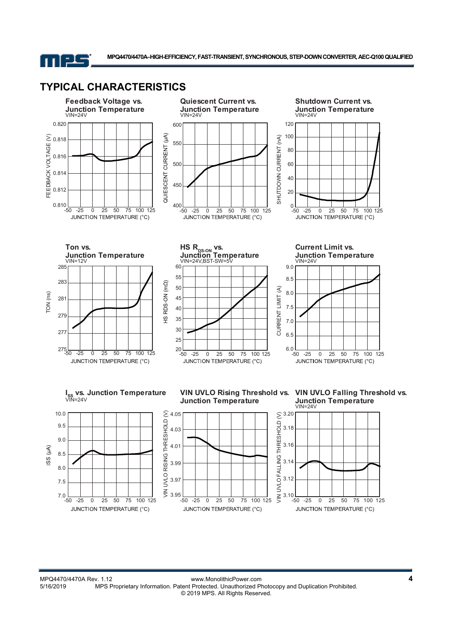

**MPQ4470/4470A–HIGH-EFFICIENCY, FAST-TRANSIENT, SYNCHRONOUS, STEP-DOWN CONVERTER, AEC-Q100 QUALIFIED** 

## **TYPICAL CHARACTERISTICS**

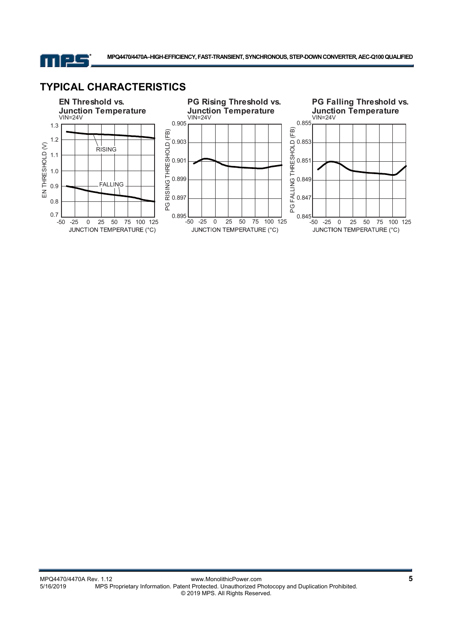

**MPQ4470/4470A–HIGH-EFFICIENCY, FAST-TRANSIENT, SYNCHRONOUS, STEP-DOWN CONVERTER, AEC-Q100 QUALIFIED** 

## **TYPICAL CHARACTERISTICS**

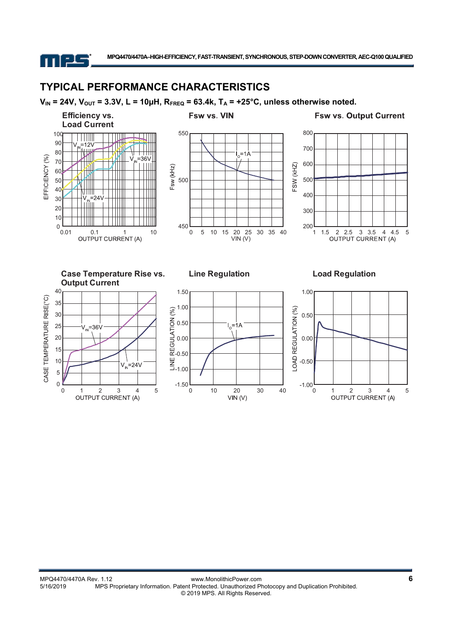11 F.L.

## **TYPICAL PERFORMANCE CHARACTERISTICS**

 $V_{IN}$  = 24V,  $V_{OUT}$  = 3.3V, L = 10µH,  $R_{FREQ}$  = 63.4k,  $T_A$  = +25°C, unless otherwise noted.

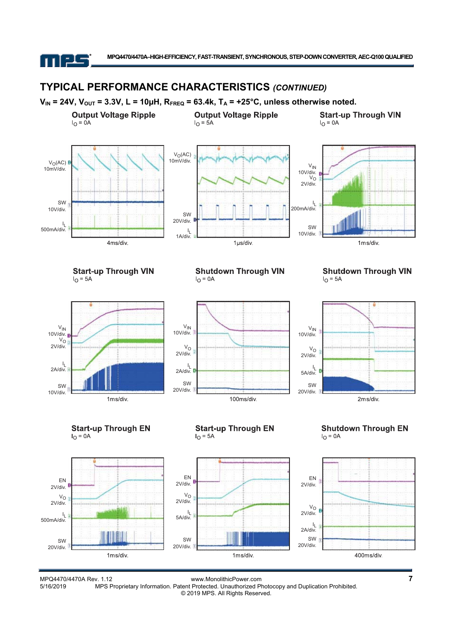

## **TYPICAL PERFORMANCE CHARACTERISTICS** *(CONTINUED)*



1ms/div.

1ms/div.

MPQ4470/4470A Rev. 1.12 www.MonolithicPower.com **7** MPS Proprietary Information. Patent Protected. Unauthorized Photocopy and Duplication Prohibited. © 2019 MPS. All Rights Reserved.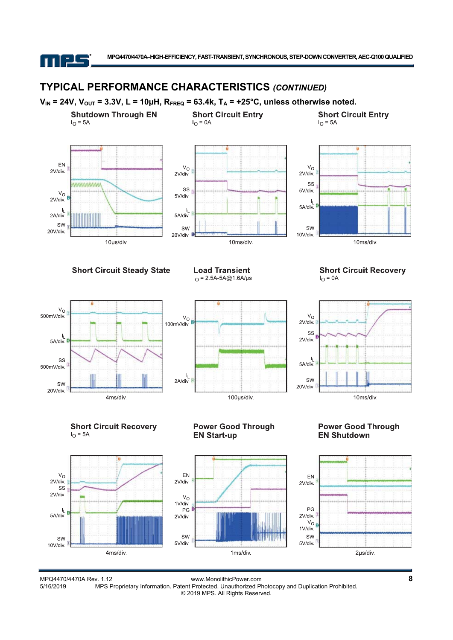

## **TYPICAL PERFORMANCE CHARACTERISTICS** *(CONTINUED)*



MPQ4470/4470A Rev. 1.12 www.MonolithicPower.com **8** MPS Proprietary Information. Patent Protected. Unauthorized Photocopy and Duplication Prohibited. © 2019 MPS. All Rights Reserved.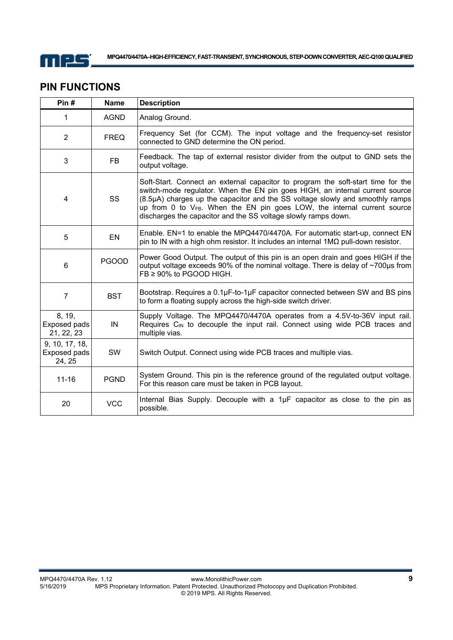

## **PIN FUNCTIONS**

| Pin#                                     | <b>Name</b>  | <b>Description</b>                                                                                                                                                                                                                                                                                                                                                                             |
|------------------------------------------|--------------|------------------------------------------------------------------------------------------------------------------------------------------------------------------------------------------------------------------------------------------------------------------------------------------------------------------------------------------------------------------------------------------------|
| 1                                        | <b>AGND</b>  | Analog Ground.                                                                                                                                                                                                                                                                                                                                                                                 |
| $\overline{2}$                           | <b>FREQ</b>  | Frequency Set (for CCM). The input voltage and the frequency-set resistor<br>connected to GND determine the ON period.                                                                                                                                                                                                                                                                         |
| 3                                        | <b>FB</b>    | Feedback. The tap of external resistor divider from the output to GND sets the<br>output voltage.                                                                                                                                                                                                                                                                                              |
| 4                                        | <b>SS</b>    | Soft-Start. Connect an external capacitor to program the soft-start time for the<br>switch-mode regulator. When the EN pin goes HIGH, an internal current source<br>(8.5µA) charges up the capacitor and the SS voltage slowly and smoothly ramps<br>up from 0 to VFB. When the EN pin goes LOW, the internal current source<br>discharges the capacitor and the SS voltage slowly ramps down. |
| 5                                        | EN           | Enable. EN=1 to enable the MPQ4470/4470A. For automatic start-up, connect EN<br>pin to IN with a high ohm resistor. It includes an internal $1\text{M}\Omega$ pull-down resistor.                                                                                                                                                                                                              |
| $6\phantom{1}6$                          | <b>PGOOD</b> | Power Good Output. The output of this pin is an open drain and goes HIGH if the<br>output voltage exceeds 90% of the nominal voltage. There is delay of ~700µs from<br>FB ≥ 90% to PGOOD HIGH.                                                                                                                                                                                                 |
| $\overline{7}$                           | <b>BST</b>   | Bootstrap. Requires a 0.1µF-to-1µF capacitor connected between SW and BS pins<br>to form a floating supply across the high-side switch driver.                                                                                                                                                                                                                                                 |
| 8, 19,<br>Exposed pads<br>21, 22, 23     | IN           | Supply Voltage. The MPQ4470/4470A operates from a 4.5V-to-36V input rail.<br>Requires C <sub>IN</sub> to decouple the input rail. Connect using wide PCB traces and<br>multiple vias.                                                                                                                                                                                                          |
| 9, 10, 17, 18,<br>Exposed pads<br>24, 25 | SW           | Switch Output. Connect using wide PCB traces and multiple vias.                                                                                                                                                                                                                                                                                                                                |
| $11 - 16$                                | <b>PGND</b>  | System Ground. This pin is the reference ground of the regulated output voltage.<br>For this reason care must be taken in PCB layout.                                                                                                                                                                                                                                                          |
| 20                                       | <b>VCC</b>   | Internal Bias Supply. Decouple with a 1µF capacitor as close to the pin as<br>possible.                                                                                                                                                                                                                                                                                                        |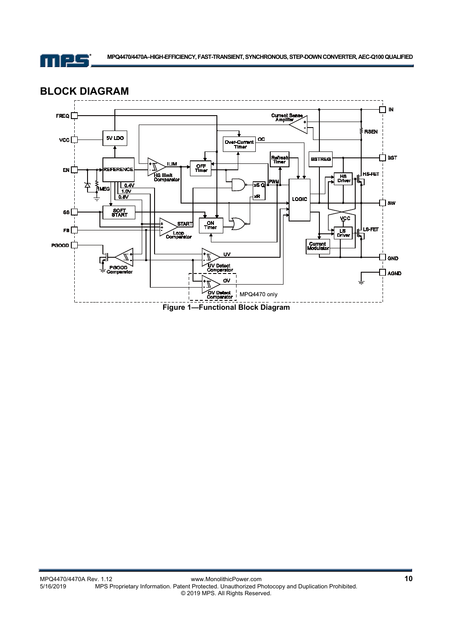

## **BLOCK DIAGRAM**

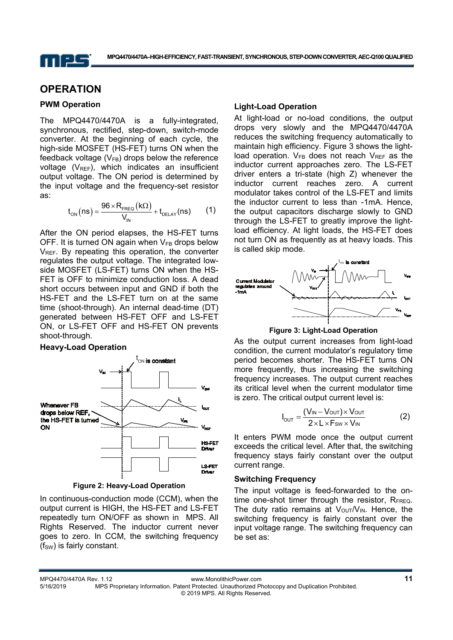

## **OPERATION**

#### **PWM Operation**

The MPQ4470/4470A is a fully-integrated, synchronous, rectified, step-down, switch-mode converter. At the beginning of each cycle, the high-side MOSFET (HS-FET) turns ON when the feedback voltage  $(V_{FB})$  drops below the reference voltage  $(V_{REF})$ , which indicates an insufficient output voltage. The ON period is determined by the input voltage and the frequency-set resistor as:

$$
t_{ON}(ns) = \frac{96 \times R_{FREG}(k\Omega)}{V_{IN}} + t_{DELAY}(ns)
$$
 (1)

After the ON period elapses, the HS-FET turns OFF. It is turned ON again when  $V_{FB}$  drops below V<sub>REF</sub>. By repeating this operation, the converter regulates the output voltage. The integrated lowside MOSFET (LS-FET) turns ON when the HS-FET is OFF to minimize conduction loss. A dead short occurs between input and GND if both the HS-FET and the LS-FET turn on at the same time (shoot-through). An internal dead-time (DT) generated between HS-FET OFF and LS-FET ON, or LS-FET OFF and HS-FET ON prevents shoot-through.

#### **Heavy-Load Operation**



**Figure 2: Heavy-Load Operation** 

In continuous-conduction mode (CCM), when the output current is HIGH, the HS-FET and LS-FET repeatedly turn ON/OFF as shown in MPS. All Rights Reserved. The inductor current never goes to zero. In CCM, the switching frequency  $(f<sub>SW</sub>)$  is fairly constant.

### **Light-Load Operation**

At light-load or no-load conditions, the output drops very slowly and the MPQ4470/4470A reduces the switching frequency automatically to maintain high efficiency. Figure 3 shows the lightload operation.  $V_{FR}$  does not reach  $V_{RFF}$  as the inductor current approaches zero. The LS-FET driver enters a tri-state (high Z) whenever the inductor current reaches zero. A current modulator takes control of the LS-FET and limits the inductor current to less than -1mA. Hence, the output capacitors discharge slowly to GND through the LS-FET to greatly improve the lightload efficiency. At light loads, the HS-FET does not turn ON as frequently as at heavy loads. This is called skip mode.





As the output current increases from light-load condition, the current modulator's regulatory time period becomes shorter. The HS-FET turns ON more frequently, thus increasing the switching frequency increases. The output current reaches its critical level when the current modulator time is zero. The critical output current level is:

$$
I_{\text{OUT}} = \frac{(V_{\text{IN}} - V_{\text{OUT}}) \times V_{\text{OUT}}}{2 \times L \times F_{\text{SW}} \times V_{\text{IN}}}
$$
(2)

It enters PWM mode once the output current exceeds the critical level. After that, the switching frequency stays fairly constant over the output current range.

#### **Switching Frequency**

The input voltage is feed-forwarded to the ontime one-shot timer through the resistor,  $R_{FREQ}$ . The duty ratio remains at  $V_{\text{OUT}}/V_{\text{IN}}$ . Hence, the switching frequency is fairly constant over the input voltage range. The switching frequency can be set as:

<sup>5/16/2019</sup> MPS Proprietary Information. Patent Protected. Unauthorized Photocopy and Duplication Prohibited. © 2019 MPS. All Rights Reserved.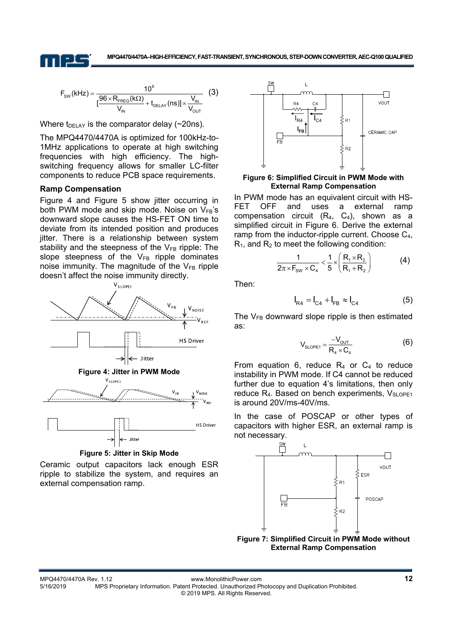$$
F_{\text{SW}}(\text{kHz}) = \frac{10^6}{\left[\frac{96 \times R_{\text{FREG}}(\text{k}\Omega)}{V_{\text{IN}}} + t_{\text{DELAY}}(\text{ns})\right] \times \frac{V_{\text{IN}}}{V_{\text{OUT}}}}
$$
(3)

Where  $t_{\text{DELAY}}$  is the comparator delay (~20ns).

The MPQ4470/4470A is optimized for 100kHz-to-1MHz applications to operate at high switching frequencies with high efficiency. The highswitching frequency allows for smaller LC-filter components to reduce PCB space requirements.

#### **Ramp Compensation**

Figure 4 and Figure 5 show jitter occurring in both PWM mode and skip mode. Noise on  $V_{FB}$ 's downward slope causes the HS-FET ON time to deviate from its intended position and produces jitter. There is a relationship between system stability and the steepness of the  $V_{FB}$  ripple: The slope steepness of the  $V_{FB}$  ripple dominates noise immunity. The magnitude of the  $V_{FB}$  ripple doesn't affect the noise immunity directly.





Ceramic output capacitors lack enough ESR ripple to stabilize the system, and requires an external compensation ramp.



#### **Figure 6: Simplified Circuit in PWM Mode with External Ramp Compensation**

In PWM mode has an equivalent circuit with HS-FET OFF and uses a external ramp compensation circuit  $(R_4, C_4)$ , shown as a simplified circuit in Figure 6. Derive the external ramp from the inductor-ripple current. Choose C4,  $R_1$ , and  $R_2$  to meet the following condition:

$$
\frac{1}{2\pi \times F_{\text{SW}} \times C_4} < \frac{1}{5} \times \left(\frac{R_1 \times R_2}{R_1 + R_2}\right) \tag{4}
$$

Then:

$$
I_{R4} = I_{C4} + I_{FB} \approx I_{C4}
$$
 (5)

The  $V_{FB}$  downward slope ripple is then estimated as:

$$
V_{\text{SLOPE1}} = \frac{-V_{\text{OUT}}}{R_4 \times C_4}
$$
 (6)

From equation 6, reduce  $R_4$  or  $C_4$  to reduce instability in PWM mode. If C4 cannot be reduced further due to equation 4's limitations, then only reduce R<sub>4</sub>. Based on bench experiments, V<sub>SLOPE1</sub> is around 20V/ms-40V/ms.

In the case of POSCAP or other types of capacitors with higher ESR, an external ramp is not necessary.

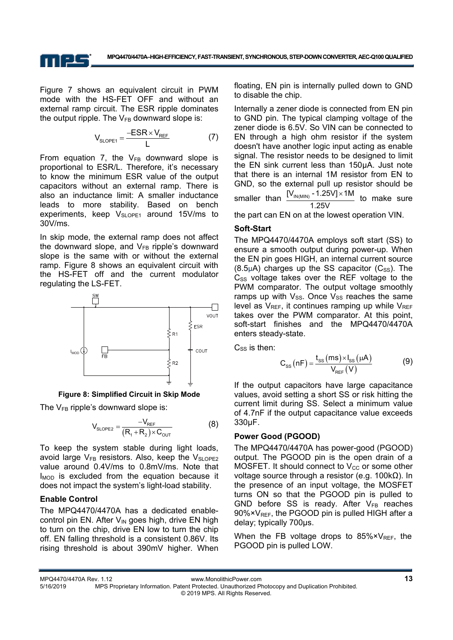

Figure 7 shows an equivalent circuit in PWM mode with the HS-FET OFF and without an external ramp circuit. The ESR ripple dominates the output ripple. The  $V_{FB}$  downward slope is:

$$
V_{\text{sLOPE1}} = \frac{-ESR \times V_{\text{REF}}}{L} \tag{7}
$$

From equation 7, the  $V_{FB}$  downward slope is proportional to ESR/L. Therefore, it's necessary to know the minimum ESR value of the output capacitors without an external ramp. There is also an inductance limit: A smaller inductance leads to more stability. Based on bench experiments, keep  $V_{SLOPE1}$  around 15V/ms to 30V/ms.

In skip mode, the external ramp does not affect the downward slope, and  $V_{FB}$  ripple's downward slope is the same with or without the external ramp. Figure 8 shows an equivalent circuit with the HS-FET off and the current modulator regulating the LS-FET.



**Figure 8: Simplified Circuit in Skip Mode** 

The  $V_{FB}$  ripple's downward slope is:

$$
V_{\text{sLOPE2}} = \frac{-V_{\text{REF}}}{(R_1 + R_2) \times C_{\text{OUT}}}
$$
(8)

To keep the system stable during light loads, avoid large  $V_{FB}$  resistors. Also, keep the  $V_{SLOPE2}$ value around 0.4V/ms to 0.8mV/ms. Note that  $I_{\text{MOD}}$  is excluded from the equation because it does not impact the system's light-load stability.

### **Enable Control**

The MPQ4470/4470A has a dedicated enablecontrol pin EN. After  $V_{IN}$  goes high, drive EN high to turn on the chip, drive EN low to turn the chip off. EN falling threshold is a consistent 0.86V. Its rising threshold is about 390mV higher. When floating, EN pin is internally pulled down to GND to disable the chip.

Internally a zener diode is connected from EN pin to GND pin. The typical clamping voltage of the zener diode is 6.5V. So VIN can be connected to EN through a high ohm resistor if the system doesn't have another logic input acting as enable signal. The resistor needs to be designed to limit the EN sink current less than 150μA. Just note that there is an internal 1M resistor from EN to GND, so the external pull up resistor should be smaller than  $\frac{[V_{IN(MIN)} - 1.25V] \times 1M}{[V_{IN(MIN)} - 1.25V]}$  to make sure 1.25V the part can EN on at the lowest operation VIN.

### **Soft-Start**

The MPQ4470/4470A employs soft start (SS) to ensure a smooth output during power-up. When the EN pin goes HIGH, an internal current source  $(8.5\mu A)$  charges up the SS capacitor  $(C_{SS})$ . The  $C_{SS}$  voltage takes over the REF voltage to the PWM comparator. The output voltage smoothly ramps up with  $V_{SS}$ . Once  $V_{SS}$  reaches the same level as  $V_{REF}$ , it continues ramping up while  $V_{REF}$ takes over the PWM comparator. At this point, soft-start finishes and the MPQ4470/4470A enters steady-state.

 $C_{SS}$  is then:

$$
C_{ss}(nF) = \frac{t_{ss}(ms) \times I_{ss}(\mu A)}{V_{REF}(V)}
$$
(9)

If the output capacitors have large capacitance values, avoid setting a short SS or risk hitting the current limit during SS. Select a minimum value of 4.7nF if the output capacitance value exceeds 330μF.

### **Power Good (PGOOD)**

The MPQ4470/4470A has power-good (PGOOD) output. The PGOOD pin is the open drain of a MOSFET. It should connect to  $V_{CC}$  or some other voltage source through a resistor (e.g. 100kΩ). In the presence of an input voltage, the MOSFET turns ON so that the PGOOD pin is pulled to GND before SS is ready. After  $V_{FB}$  reaches  $90\% \times V_{REF}$ , the PGOOD pin is pulled HIGH after a delay; typically 700μs.

When the FB voltage drops to  $85\% \times V_{REF}$ , the PGOOD pin is pulled LOW.

MPQ4470/4470A Rev. 1.12 www.MonolithicPower.com **13** 5/16/2019 MPS Proprietary Information. Patent Protected. Unauthorized Photocopy and Duplication Prohibited. © 2019 MPS. All Rights Reserved.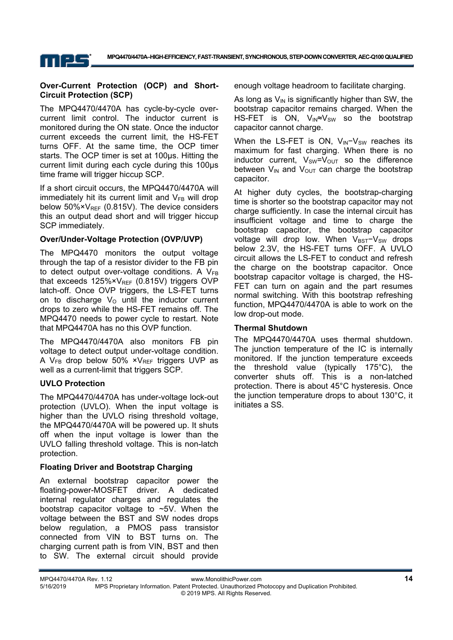

### **Over-Current Protection (OCP) and Short-Circuit Protection (SCP)**

MPS

The MPQ4470/4470A has cycle-by-cycle overcurrent limit control. The inductor current is monitored during the ON state. Once the inductor current exceeds the current limit, the HS-FET turns OFF. At the same time, the OCP timer starts. The OCP timer is set at 100μs. Hitting the current limit during each cycle during this 100μs time frame will trigger hiccup SCP.

If a short circuit occurs, the MPQ4470/4470A will immediately hit its current limit and  $V_{FB}$  will drop below  $50\% \times V_{REF}$  (0.815V). The device considers this an output dead short and will trigger hiccup SCP immediately.

### **Over/Under-Voltage Protection (OVP/UVP)**

The MPQ4470 monitors the output voltage through the tap of a resistor divider to the FB pin to detect output over-voltage conditions. A  $V_{FB}$ that exceeds 125% × V<sub>RFF</sub> (0.815V) triggers OVP latch-off. Once OVP triggers, the LS-FET turns on to discharge  $V<sub>O</sub>$  until the inductor current drops to zero while the HS-FET remains off. The MPQ4470 needs to power cycle to restart. Note that MPQ4470A has no this OVP function.

The MPQ4470/4470A also monitors FB pin voltage to detect output under-voltage condition. A  $V_{FB}$  drop below 50%  $v_{REF}$  triggers UVP as well as a current-limit that triggers SCP.

### **UVLO Protection**

The MPQ4470/4470A has under-voltage lock-out protection (UVLO). When the input voltage is higher than the UVLO rising threshold voltage, the MPQ4470/4470A will be powered up. It shuts off when the input voltage is lower than the UVLO falling threshold voltage. This is non-latch protection.

### **Floating Driver and Bootstrap Charging**

An external bootstrap capacitor power the floating-power-MOSFET driver. A dedicated internal regulator charges and regulates the bootstrap capacitor voltage to  $~5V$ . When the voltage between the BST and SW nodes drops below regulation, a PMOS pass transistor connected from VIN to BST turns on. The charging current path is from VIN, BST and then to SW. The external circuit should provide enough voltage headroom to facilitate charging.

As long as  $V_{\text{IN}}$  is significantly higher than SW, the bootstrap capacitor remains charged. When the HS-FET is ON,  $V_{IN} \approx V_{SW}$  so the bootstrap capacitor cannot charge.

When the LS-FET is ON,  $V_{IN}-V_{SW}$  reaches its maximum for fast charging. When there is no inductor current,  $V_{SW}=V_{OUT}$  so the difference between  $V_{IN}$  and  $V_{OUT}$  can charge the bootstrap capacitor.

At higher duty cycles, the bootstrap-charging time is shorter so the bootstrap capacitor may not charge sufficiently. In case the internal circuit has insufficient voltage and time to charge the bootstrap capacitor, the bootstrap capacitor voltage will drop low. When V<sub>BST</sub>-V<sub>SW</sub> drops below 2.3V, the HS-FET turns OFF. A UVLO circuit allows the LS-FET to conduct and refresh the charge on the bootstrap capacitor. Once bootstrap capacitor voltage is charged, the HS-FET can turn on again and the part resumes normal switching. With this bootstrap refreshing function, MPQ4470/4470A is able to work on the low drop-out mode.

### **Thermal Shutdown**

The MPQ4470/4470A uses thermal shutdown. The junction temperature of the IC is internally monitored. If the junction temperature exceeds the threshold value (typically 175°C), the converter shuts off. This is a non-latched protection. There is about 45°C hysteresis. Once the junction temperature drops to about 130°C, it initiates a SS.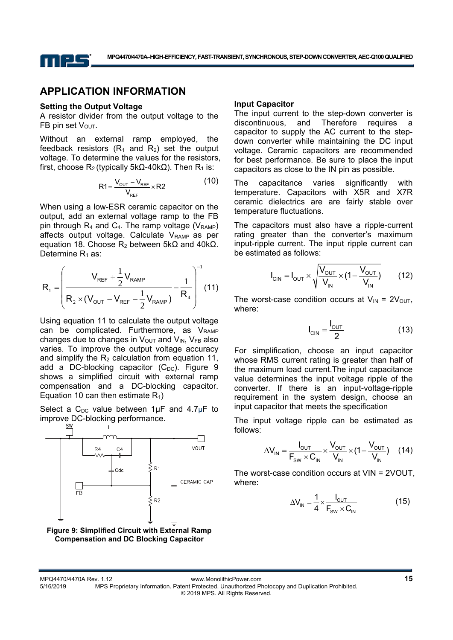

### **APPLICATION INFORMATION**

#### **Setting the Output Voltage**

A resistor divider from the output voltage to the FB pin set  $V_{\text{OUT}}$ .

Without an external ramp employed, the feedback resistors  $(R_1$  and  $R_2$ ) set the output voltage. To determine the values for the resistors, first, choose R<sub>2</sub> (typically 5kΩ-40kΩ). Then R<sub>1</sub> is:

$$
R1 = \frac{V_{\text{OUT}} - V_{\text{REF}}}{V_{\text{REF}}} \times R2
$$
 (10)

When using a low-ESR ceramic capacitor on the output, add an external voltage ramp to the FB pin through  $R_4$  and  $C_4$ . The ramp voltage ( $V_{RAMP}$ ) affects output voltage. Calculate  $V_{RAMP}$  as per equation 18. Choose  $R_2$  between 5kΩ and 40kΩ. Determine  $R_1$  as:

$$
R_{1} = \left(\frac{V_{REF} + \frac{1}{2}V_{RAMP}}{R_{2} \times (V_{OUT} - V_{REF} - \frac{1}{2}V_{RAMP})} - \frac{1}{R_{4}}\right)^{-1}
$$
(11)

Using equation 11 to calculate the output voltage can be complicated. Furthermore, as  $V_{RAMP}$ changes due to changes in  $V_{\text{OUT}}$  and  $V_{\text{IN}}$ ,  $V_{\text{FB}}$  also varies. To improve the output voltage accuracy and simplify the  $R_2$  calculation from equation 11, add a DC-blocking capacitor  $(C_{DC})$ . Figure 9 shows a simplified circuit with external ramp compensation and a DC-blocking capacitor. Equation 10 can then estimate  $R_1$ )

Select a  $C_{DC}$  value between 1µF and 4.7µF to improve DC-blocking performance.



#### **Input Capacitor**

The input current to the step-down converter is discontinuous, and Therefore requires a capacitor to supply the AC current to the stepdown converter while maintaining the DC input voltage. Ceramic capacitors are recommended for best performance. Be sure to place the input capacitors as close to the IN pin as possible.

The capacitance varies significantly with temperature. Capacitors with X5R and X7R ceramic dielectrics are are fairly stable over temperature fluctuations.

The capacitors must also have a ripple-current rating greater than the converter's maximum input-ripple current. The input ripple current can be estimated as follows:

$$
I_{\text{CIN}} = I_{\text{OUT}} \times \sqrt{\frac{V_{\text{OUT}}}{V_{\text{IN}}} \times (1 - \frac{V_{\text{OUT}}}{V_{\text{IN}}})}
$$
(12)

The worst-case condition occurs at  $V_{IN} = 2V_{OUT}$ , where:

$$
I_{\text{CIN}} = \frac{I_{\text{OUT}}}{2} \tag{13}
$$

For simplification, choose an input capacitor whose RMS current rating is greater than half of the maximum load current.The input capacitance value determines the input voltage ripple of the converter. If there is an input-voltage-ripple requirement in the system design, choose an input capacitor that meets the specification

The input voltage ripple can be estimated as follows:

$$
\Delta V_{IN} = \frac{I_{OUT}}{F_{SW} \times C_{IN}} \times \frac{V_{OUT}}{V_{IN}} \times (1 - \frac{V_{OUT}}{V_{IN}})
$$
 (14)

The worst-case condition occurs at VIN = 2VOUT, where:

$$
\Delta V_{IN} = \frac{1}{4} \times \frac{I_{OUT}}{F_{SW} \times C_{IN}} \tag{15}
$$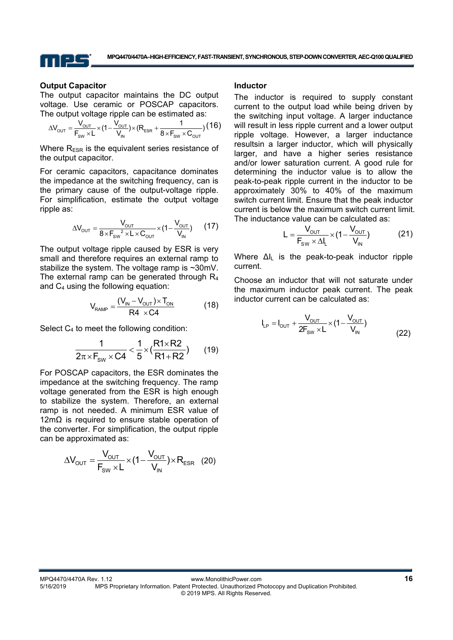

#### **Output Capacitor**

The output capacitor maintains the DC output voltage. Use ceramic or POSCAP capacitors. The output voltage ripple can be estimated as:

$$
\Delta V_{\text{OUT}} = \frac{V_{\text{OUT}}}{F_{\text{SW}} \times L} \times (1 - \frac{V_{\text{OUT}}}{V_{\text{IN}}}) \times (R_{\text{ESR}} + \frac{1}{8 \times F_{\text{SW}} \times C_{\text{OUT}}}) (16)
$$

Where  $R_{ESR}$  is the equivalent series resistance of the output capacitor.

For ceramic capacitors, capacitance dominates the impedance at the switching frequency, can is the primary cause of the output-voltage ripple. For simplification, estimate the output voltage ripple as:

$$
\Delta V_{\text{OUT}} = \frac{V_{\text{OUT}}}{8 \times F_{\text{SW}}^2 \times L \times C_{\text{OUT}}} \times (1 - \frac{V_{\text{OUT}}}{V_{\text{IN}}})
$$
 (17)

The output voltage ripple caused by ESR is very small and therefore requires an external ramp to stabilize the system. The voltage ramp is ~30mV. The external ramp can be generated through  $R_4$ and C4 using the following equation:

$$
V_{RAMP} = \frac{(V_{IN} - V_{OUT}) \times T_{ON}}{R4 \times C4}
$$
 (18)

Select C<sub>4</sub> to meet the following condition:

$$
\frac{1}{2\pi \times F_{sw} \times C4} < \frac{1}{5} \times (\frac{R1 \times R2}{R1 + R2})
$$
 (19)

For POSCAP capacitors, the ESR dominates the impedance at the switching frequency. The ramp voltage generated from the ESR is high enough to stabilize the system. Therefore, an external ramp is not needed. A minimum ESR value of 12mΩ is required to ensure stable operation of the converter. For simplification, the output ripple can be approximated as:

$$
\Delta V_{\text{OUT}} = \frac{V_{\text{OUT}}}{F_{\text{SW}} \times L} \times (1 - \frac{V_{\text{OUT}}}{V_{\text{IN}}}) \times R_{\text{ESR}} \quad (20)
$$

#### **Inductor**

The inductor is required to supply constant current to the output load while being driven by the switching input voltage. A larger inductance will result in less ripple current and a lower output ripple voltage. However, a larger inductance resultsin a larger inductor, which will physically larger, and have a higher series resistance and/or lower saturation current. A good rule for determining the inductor value is to allow the peak-to-peak ripple current in the inductor to be approximately 30% to 40% of the maximum switch current limit. Ensure that the peak inductor current is below the maximum switch current limit. The inductance value can be calculated as:

$$
L = \frac{V_{\text{OUT}}}{F_{\text{SW}} \times \Delta I_{L}} \times (1 - \frac{V_{\text{OUT}}}{V_{\text{IN}}})
$$
(21)

Where ∆IL is the peak-to-peak inductor ripple current.

Choose an inductor that will not saturate under the maximum inductor peak current. The peak inductor current can be calculated as:

$$
I_{LP} = I_{OUT} + \frac{V_{OUT}}{2F_{SW} \times L} \times (1 - \frac{V_{OUT}}{V_{IN}})
$$
(22)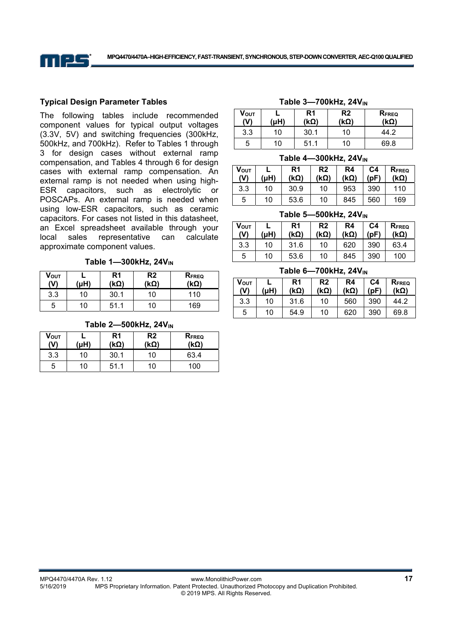

### **Typical Design Parameter Tables**

The following tables include recommended component values for typical output voltages (3.3V, 5V) and switching frequencies (300kHz, 500kHz, and 700kHz). Refer to Tables 1 through 3 for design cases without external ramp compensation, and Tables 4 through 6 for design cases with external ramp compensation. An external ramp is not needed when using high-ESR capacitors, such as electrolytic or POSCAPs. An external ramp is needed when using low-ESR capacitors, such as ceramic capacitors. For cases not listed in this datasheet, an Excel spreadsheet available through your local sales representative can calculate approximate component values.

Table 1-300kHz, 24V<sub>IN</sub>

| Vουτ<br>(V) | (uH) | R <sub>1</sub><br>(kΩ) | R <sub>2</sub><br>(kΩ) | <b>RFREQ</b><br>(kΩ) |
|-------------|------|------------------------|------------------------|----------------------|
| 3.3         | 10   | 30.1                   | 10                     | 110                  |
| 5           | 10   | 51.1                   | 10                     | 169                  |

| Vout<br>(V) | (Hu) | R1<br>$(k\Omega)$ | R <sub>2</sub><br>′kΩ) | RFREQ<br>$(k\Omega)$ |
|-------------|------|-------------------|------------------------|----------------------|
| 3.3         | 10   | 30.1              | 10                     | 63.4                 |
| 5           | 10   | 51.1              | 10                     | 100                  |

#### Table 2-500kHz, 24V<sub>IN</sub>

### Table 3-700kHz, 24V<sub>IN</sub>

| Vουτ<br>(V) | (uH) | R <sub>1</sub><br>$(k\Omega)$ | R <sub>2</sub><br>(kΩ) | <b>RFREQ</b><br>(kΩ) |
|-------------|------|-------------------------------|------------------------|----------------------|
| 3.3         | 10   | 30.1                          | 10                     | 44.2                 |
| 5           | 10   | 51.1                          | 10                     | 69.8                 |

#### **Table 4-300kHz, 24V<sub>IN</sub>**

| <b>VOUT</b><br>(V) | (uH) | R1<br>$(k\Omega)$ | R <sub>2</sub><br>$(k\Omega)$ | R4<br>$(k\Omega)$ | C4<br>(DF) | <b>RFREQ</b><br>(kΩ) |
|--------------------|------|-------------------|-------------------------------|-------------------|------------|----------------------|
| 3.3                | 10   | 30.9              | 10                            | 953               | 390        | 110                  |
| 5                  | 10   | 53.6              | 10                            | 845               | 560        | 169                  |

#### **Table 5-500kHz, 24V<sub>IN</sub>**

|             |      | R <sub>1</sub> | R <sub>2</sub> | R <sub>4</sub> | C4   |                      |  |
|-------------|------|----------------|----------------|----------------|------|----------------------|--|
| VOUT<br>(V) | (uH) | (kΩ)           | $(k\Omega)$    | $(k\Omega)$    | (pF) | <b>RFREQ</b><br>(kΩ) |  |
| 3.3         | 10   | 31.6           | 10             | 620            | 390  | 63.4                 |  |
| 5           | 10   | 53.6           | 10             | 845            | 390  | 100                  |  |

#### **Table 6-700kHz, 24V<sub>IN</sub>**

| Vout<br>(V) | (uH) | R1<br>(kΩ) | R2<br>(kΩ) | R4<br>$(k\Omega)$ | C4<br>(pF) | <b>RFREQ</b><br>$(k\Omega)$ |
|-------------|------|------------|------------|-------------------|------------|-----------------------------|
| 3.3         | 10   | 31.6       | 10         | 560               | 390        | 44.2                        |
| 5           | 10   | 54.9       | 10         | 620               | 390        | 69.8                        |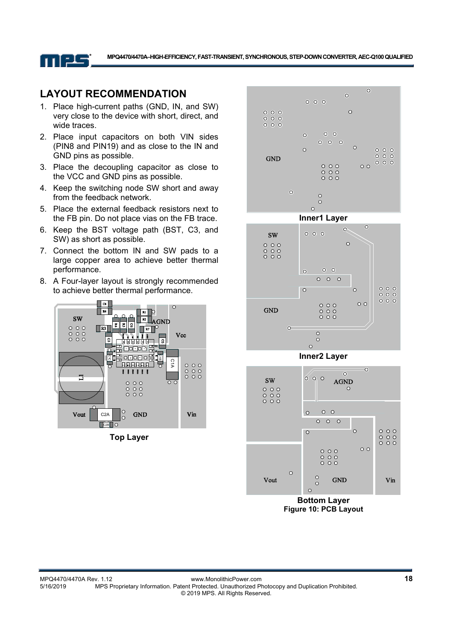

### **LAYOUT RECOMMENDATION**

- 1. Place high-current paths (GND, IN, and SW) very close to the device with short, direct, and wide traces.
- 2. Place input capacitors on both VIN sides (PIN8 and PIN19) and as close to the IN and GND pins as possible.
- 3. Place the decoupling capacitor as close to the VCC and GND pins as possible.
- 4. Keep the switching node SW short and away from the feedback network.
- 5. Place the external feedback resistors next to the FB pin. Do not place vias on the FB trace.
- 6. Keep the BST voltage path (BST, C3, and SW) as short as possible.
- 7. Connect the bottom IN and SW pads to a large copper area to achieve better thermal performance.
- 8. A Four-layer layout is strongly recommended to achieve better thermal performance.



**Top Layer** 





**Inner2 Layer** 



**Figure 10: PCB Layout**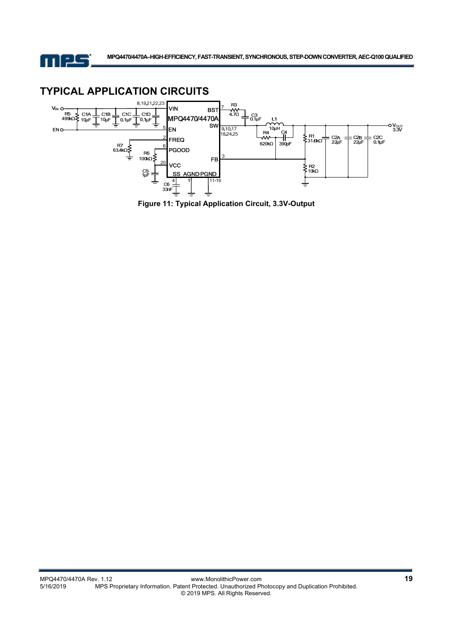

# **TYPICAL APPLICATION CIRCUITS**



**Figure 11: Typical Application Circuit, 3.3V-Output**